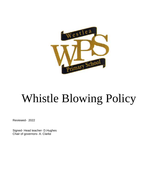

# Whistle Blowing Policy

Reviewed- 2022

Signed- Head teacher- D.Hughes Chair of governors- A. Clarke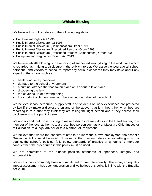# **Whistle Blowing**

We believe this policy relates to the following legislation:

- Employment Rights Act 1996
- Public Interest Disclosure Act 1998
- Public Interest Disclosure (Compensation) Order 1999
- Public Interest Disclosure (Prescribed Persons) Order 1999
- Public Interest Disclosure (Prescribed Persons) (Amendment) Order 2003
- Enterprise and Regulatory Reform Act 2013

We believe whistle blowing is the reporting of suspected wrongdoing in the workplace which is regarded as making a disclosure in the public interest. We actively encourage all school personnel and visitors to school to report any serious concerns they may have about any aspect of the school such as:

- health and safety concerns
- damage to the school environment
- a criminal offence that has taken place or is about to take place
- disobeying the law
- the covering up of a wrong doing
- the conduct of its personnel or others acting on behalf of the school.

We believe school personnel, supply staff, and students on work experience are protected by law if they make a disclosure on any of the above, that is if they think what they are reporting is true, that they think they are telling the right person and if they believe their disclosure is in the public interest.

We understand that those wishing to make a disclosure may do so to the Headteacher, to a member of the local authority, to a prescribed person such as Her Majesty's Chief Inspector of Education, to a legal adviser or to a Member of Parliament.

We believe that where the concern relates to an individual's own employment the school's Grievance Policy must be used. However, if the concern relates to something which is against the school's policies, falls below standards of practice or amounts to improper conduct then the procedures in this policy must be used.

We are committed to the highest possible standards of openness, integrity and accountability.

We as a school community have a commitment to promote equality. Therefore, an equality impact assessment has been undertaken and we believe this policy is in line with the Equality Act 2010.

#### **Aims**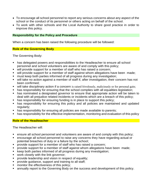- To encourage all school personnel to report any serious concerns about any aspect of the school or the conduct of its personnel or others acting on behalf of the school.
- To work with other schools and the Local Authority to share good practice in order to improve this policy.

# **Responsibility for the Policy and Procedure**

When a concern has been raised the following procedure will be followed:

# **Role of the Governing Body**

The Governing Body:

- has delegated powers and responsibilities to the Headteacher to ensure all school personnel and school volunteers are aware of and comply with this policy;
- will provide support for a member of staff who has raised a concern;
- will provide support for a member of staff against whom allegations have been made;
- must keep both parties informed of all progress during any investigation;
- will take no action against a member of staff if, after investigation, their concern has not been confirmed;
- will take disciplinary action if a concern is raised frivolously, maliciously or for personal gain;
- has responsibility for ensuring that the school complies with all equalities legislation;
- has nominated a designated governor to ensure that appropriate action will be taken to deal with all prejudice related incidents or incidents which are a breach of this policy;
- has responsibility for ensuring funding is in place to support this policy;
- has responsibility for ensuring this policy and all policies are maintained and updated regularly;
- has responsibility for ensuring all policies are made available to parents;
- has responsibility for the effective implementation, monitoring and evaluation of this policy

# **Role of the Headteacher**

The Headteacher will:

- ensure all school personnel and volunteers are aware of and comply with this policy;
- encourage all school personnel to raise any concerns they have regarding actual or potential breaches of duty or a failure by the school;
- provide support for a member of staff who has raised a concern;
- provide support for a member of staff against whom allegations have been made;
- keep both parties informed of all progress during any investigation;
- work closely with the link governor;
- **•** provide leadership and vision in respect of equality;
- **•** provide guidance, support and training to all staff;
- monitor the effectiveness of this policy;
- **E** annually report to the Governing Body on the success and development of this policy.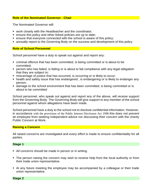#### **Role of the Nominated Governor - Chair**

The Nominated Governor will:

- work closely with the Headteacher and the coordinator;
- ensure this policy and other linked policies are up to date;
- ensure that everyone connected with the school is aware of this policy:
- **EX annually report to the Governing Body on the success and development of this policy**

#### **Role of School Personnel**

School personnel have a duty to speak out against and report any:

- criminal offence that has been committed, is being committed or is about to be committed;
- person who has failed, is failing or is about to fail compliance with any legal obligation that they are subject to;
- **EXED** miscarriage of justice that has occurred, is occurring or is likely to occur;
- health and safety issue that has endangered, is endangering or is likely to endanger any person;
- damage to the school environment that has been committed, is being committed or is about to be committed

School personnel, who speak out against and report any of the above, will receive support from the Governing Body. The Governing Body will give support to any member of the school personnel against whom allegations have been made.

School personnel have a duty to the school not to disclose confidential information. However, in accordance with the provisions of the Public Interest Disclosure Act 1998 this does not prevent an employee from seeking independent advice nor discussing their concern with the charity Public Concern at Work.

# **Raising a Concern**

All raised concerns are investigated and every effort is made to ensure confidentiality for all parties.

#### **Stage 1**

- All concerns should be made in person or in writing.
- **•** The person raising the concern may wish to receive help from the local authority or from their trade union representative.
- At any future meeting the employee may be accompanied by a colleague or their trade union representative.

**Stage 2**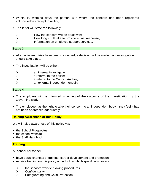- **.** Within 10 working days the person with whom the concern has been registered acknowledges receipt in writing.
- The letter will state the following:
	- $\triangleright$  How the concern will be dealt with;
	- $\triangleright$  How long it will take to provide a final response;
	- ➢ Information on employee support services.

#### **Stage 3**

- **E** After initial enquiries have been conducted, a decision will be made if an investigation should take place.
- **The investigation will be either:** 
	- $\triangleright$  an internal investigation;
	- $\triangleright$  a referral to the police;
	- ➢ a referral to the Council Auditor;
	- $\triangleright$  an external independent enquiry.

#### **Stage 4**

- The employee will be informed in writing of the outcome of the investigation by the Governing Body.
- The employee has the right to take their concern to an independent body if they feel it has not been addressed adequately.

# **Raising Awareness of this Policy**

We will raise awareness of this policy via:

- the School Prospectus
- the school website
- the Staff Handbook

# **Training**

All school personnel:

- have equal chances of training, career development and promotion
- receive training on this policy on induction which specifically covers:
	- $\triangleright$  the school's whistle blowing procedures
	- ➢ Confidentiality
	- ➢ Safeguarding and Child Protection